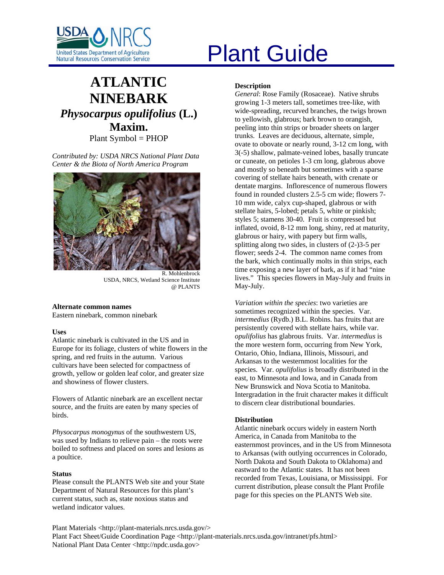

# **ATLANTIC NINEBARK** *Physocarpus opulifolius* **(L.) Maxim.**

Plant Symbol = PHOP

*Contributed by: USDA NRCS National Plant Data Center & the Biota of North America Program* 



R. Mohlenbrock USDA, NRCS, Wetland Science Institute @ PLANTS

#### **Alternate common names**

Eastern ninebark, common ninebark

#### **Uses**

Atlantic ninebark is cultivated in the US and in Europe for its foliage, clusters of white flowers in the spring, and red fruits in the autumn. Various cultivars have been selected for compactness of growth, yellow or golden leaf color, and greater size and showiness of flower clusters.

Flowers of Atlantic ninebark are an excellent nectar source, and the fruits are eaten by many species of birds.

*Physocarpus monogynus* of the southwestern US, was used by Indians to relieve pain – the roots were boiled to softness and placed on sores and lesions as a poultice.

#### **Status**

Please consult the PLANTS Web site and your State Department of Natural Resources for this plant's current status, such as, state noxious status and wetland indicator values.

# United States Department of Agriculture<br>Natural Resources Conservation Service

# **Description**

*General*: Rose Family (Rosaceae). Native shrubs growing 1-3 meters tall, sometimes tree-like, with wide-spreading, recurved branches, the twigs brown to yellowish, glabrous; bark brown to orangish, peeling into thin strips or broader sheets on larger trunks. Leaves are deciduous, alternate, simple, ovate to obovate or nearly round, 3-12 cm long, with 3(-5) shallow, palmate-veined lobes, basally truncate or cuneate, on petioles 1-3 cm long, glabrous above and mostly so beneath but sometimes with a sparse covering of stellate hairs beneath, with crenate or dentate margins. Inflorescence of numerous flowers found in rounded clusters 2.5-5 cm wide; flowers 7- 10 mm wide, calyx cup-shaped, glabrous or with stellate hairs, 5-lobed; petals 5, white or pinkish; styles 5; stamens 30-40. Fruit is compressed but inflated, ovoid, 8-12 mm long, shiny, red at maturity, glabrous or hairy, with papery but firm walls, splitting along two sides, in clusters of (2-)3-5 per flower; seeds 2-4. The common name comes from the bark, which continually molts in thin strips, each time exposing a new layer of bark, as if it had "nine lives." This species flowers in May-July and fruits in May-July.

*Variation within the species*: two varieties are sometimes recognized within the species. Var. *intermedius* (Rydb.) B.L. Robins. has fruits that are persistently covered with stellate hairs, while var. *opulifolius* has glabrous fruits. Var. *intermedius* is the more western form, occurring from New York, Ontario, Ohio, Indiana, Illinois, Missouri, and Arkansas to the westernmost localities for the species. Var. *opulifolius* is broadly distributed in the east, to Minnesota and Iowa, and in Canada from New Brunswick and Nova Scotia to Manitoba. Intergradation in the fruit character makes it difficult to discern clear distributional boundaries.

#### **Distribution**

Atlantic ninebark occurs widely in eastern North America, in Canada from Manitoba to the easternmost provinces, and in the US from Minnesota to Arkansas (with outlying occurrences in Colorado, North Dakota and South Dakota to Oklahoma) and eastward to the Atlantic states. It has not been recorded from Texas, Louisiana, or Mississippi. For current distribution, please consult the Plant Profile page for this species on the PLANTS Web site.

Plant Materials <http://plant-materials.nrcs.usda.gov/> Plant Fact Sheet/Guide Coordination Page <http://plant-materials.nrcs.usda.gov/intranet/pfs.html> National Plant Data Center <http://npdc.usda.gov>